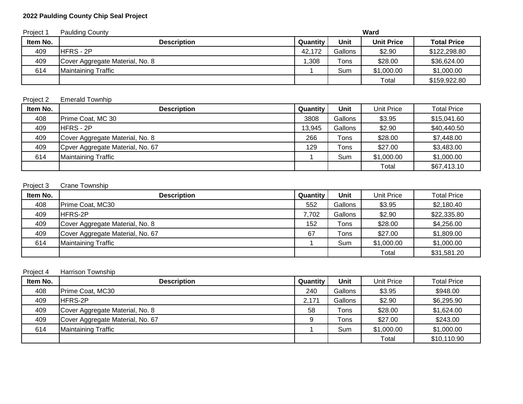## **2022 Paulding County Chip Seal Project**

| Project <sup>2</sup> | <b>Paulding County</b>          | Ward     |         |                   |                    |
|----------------------|---------------------------------|----------|---------|-------------------|--------------------|
| Item No.             | <b>Description</b>              | Quantity | Unit    | <b>Unit Price</b> | <b>Total Price</b> |
| 409                  | <b>IHFRS</b> - 2P               | 42,172   | Gallons | \$2.90            | \$122,298.80       |
| 409                  | Cover Aggregate Material, No. 8 | ,308     | Tons    | \$28.00           | \$36,624.00        |
| 614                  | <b>Maintaining Traffic</b>      |          | Sum     | \$1,000.00        | \$1,000.00         |
|                      |                                 |          |         | Total             | \$159,922.80       |

## Project 2 Emerald Townhip

| Item No. | <b>Description</b>               | Quantity | Unit    | Unit Price | <b>Total Price</b> |
|----------|----------------------------------|----------|---------|------------|--------------------|
| 408      | Prime Coat, MC 30                | 3808     | Gallons | \$3.95     | \$15,041.60        |
| 409      | <b>HFRS</b> - 2P                 | 13,945   | Gallons | \$2.90     | \$40,440.50        |
| 409      | Cover Aggregate Material, No. 8  | 266      | Tons    | \$28.00    | \$7,448.00         |
| 409      | Cpver Aggregate Material, No. 67 | 129      | Tons    | \$27.00    | \$3,483.00         |
| 614      | <b>Maintaining Traffic</b>       |          | Sum     | \$1,000.00 | \$1,000.00         |
|          |                                  |          |         | Total      | \$67,413.10        |

# Project 3 Crane Township

| Item No. | <b>Description</b>               | Quantity | Unit    | Unit Price | <b>Total Price</b> |
|----------|----------------------------------|----------|---------|------------|--------------------|
| 408      | Prime Coat, MC30                 | 552      | Gallons | \$3.95     | \$2,180.40         |
| 409      | <b>IHFRS-2P</b>                  | 7,702    | Gallons | \$2.90     | \$22,335.80        |
| 409      | Cover Aggregate Material, No. 8  | 152      | Tons    | \$28.00    | \$4,256.00         |
| 409      | Cover Aggregate Material, No. 67 | 67       | Tons    | \$27.00    | \$1,809.00         |
| 614      | <b>Maintaining Traffic</b>       |          | Sum     | \$1,000.00 | \$1,000.00         |
|          |                                  |          |         | Total      | \$31,581.20        |

Project 4 Harrison Township

| Item No. | <b>Description</b>               | Quantity | Unit    | Unit Price | <b>Total Price</b> |
|----------|----------------------------------|----------|---------|------------|--------------------|
| 408      | Prime Coat, MC30                 | 240      | Gallons | \$3.95     | \$948.00           |
| 409      | <b>HFRS-2P</b>                   | 2,171    | Gallons | \$2.90     | \$6,295.90         |
| 409      | Cover Aggregate Material, No. 8  | 58       | Tons    | \$28.00    | \$1,624.00         |
| 409      | Cover Aggregate Material, No. 67 |          | Tons    | \$27.00    | \$243.00           |
| 614      | <b>Maintaining Traffic</b>       |          | Sum     | \$1,000.00 | \$1,000.00         |
|          |                                  |          |         | Total      | \$10,110.90        |